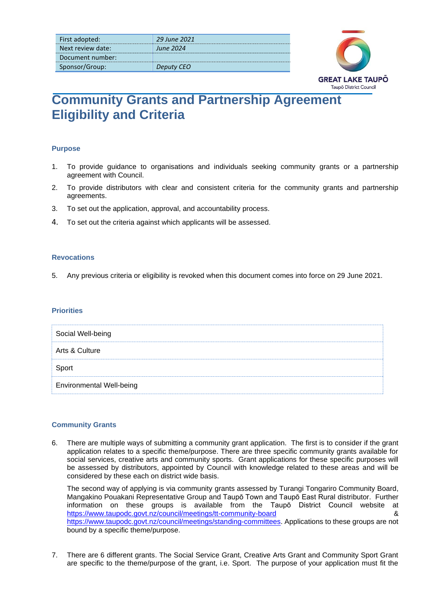| First adopted:    | 29 June 2021     |
|-------------------|------------------|
| Next review date: | <b>June 2024</b> |
| Document number:  |                  |
| Sponsor/Group:    | Deputy CEO       |



# **Community Grants and Partnership Agreement Eligibility and Criteria**

## **Purpose**

- 1. To provide guidance to organisations and individuals seeking community grants or a partnership agreement with Council.
- 2. To provide distributors with clear and consistent criteria for the community grants and partnership agreements.
- 3. To set out the application, approval, and accountability process.
- 4. To set out the criteria against which applicants will be assessed.

## **Revocations**

5. Any previous criteria or eligibility is revoked when this document comes into force on 29 June 2021.

## **Priorities**

| Social Well-being               |  |
|---------------------------------|--|
| Arts & Culture                  |  |
| Sport                           |  |
| <b>Environmental Well-being</b> |  |

## **Community Grants**

6. There are multiple ways of submitting a community grant application. The first is to consider if the grant application relates to a specific theme/purpose. There are three specific community grants available for social services, creative arts and community sports. Grant applications for these specific purposes will be assessed by distributors, appointed by Council with knowledge related to these areas and will be considered by these each on district wide basis.

The second way of applying is via community grants assessed by Turangi Tongariro Community Board, Mangakino Pouakani Representative Group and Taupō Town and Taupō East Rural distributor. Further information on these groups is available from the Taupō District Council website at <https://www.taupodc.govt.nz/council/meetings/tt-community-board> & [https://www.taupodc.govt.nz/council/meetings/standing-committees.](https://www.taupodc.govt.nz/council/meetings/standing-committees) Applications to these groups are not bound by a specific theme/purpose.

7. There are 6 different grants. The Social Service Grant, Creative Arts Grant and Community Sport Grant are specific to the theme/purpose of the grant, i.e. Sport. The purpose of your application must fit the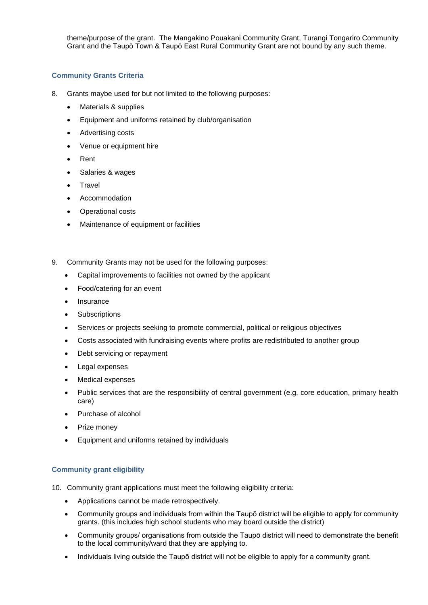theme/purpose of the grant. The Mangakino Pouakani Community Grant, Turangi Tongariro Community Grant and the Taupō Town & Taupō East Rural Community Grant are not bound by any such theme.

## **Community Grants Criteria**

- 8. Grants maybe used for but not limited to the following purposes:
	- Materials & supplies
	- Equipment and uniforms retained by club/organisation
	- Advertising costs
	- Venue or equipment hire
	- Rent
	- Salaries & wages
	- **Travel**
	- Accommodation
	- Operational costs
	- Maintenance of equipment or facilities
- 9. Community Grants may not be used for the following purposes:
	- Capital improvements to facilities not owned by the applicant
	- Food/catering for an event
	- Insurance
	- **Subscriptions**
	- Services or projects seeking to promote commercial, political or religious objectives
	- Costs associated with fundraising events where profits are redistributed to another group
	- Debt servicing or repayment
	- Legal expenses
	- Medical expenses
	- Public services that are the responsibility of central government (e.g. core education, primary health care)
	- Purchase of alcohol
	- Prize money
	- Equipment and uniforms retained by individuals

## **Community grant eligibility**

- 10. Community grant applications must meet the following eligibility criteria:
	- Applications cannot be made retrospectively.
	- Community groups and individuals from within the Taupō district will be eligible to apply for community grants. (this includes high school students who may board outside the district)
	- Community groups/ organisations from outside the Taupō district will need to demonstrate the benefit to the local community/ward that they are applying to.
	- Individuals living outside the Taupō district will not be eligible to apply for a community grant.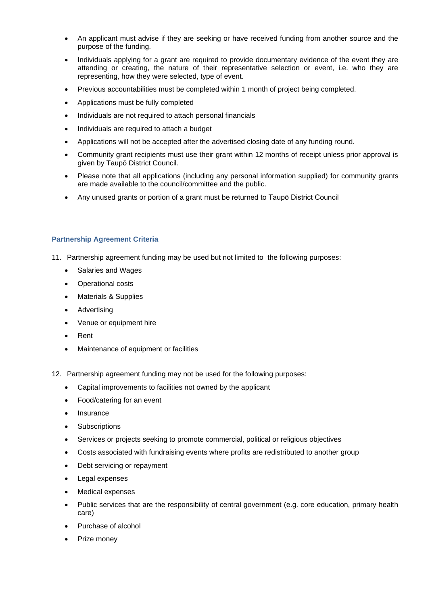- An applicant must advise if they are seeking or have received funding from another source and the purpose of the funding.
- Individuals applying for a grant are required to provide documentary evidence of the event they are attending or creating, the nature of their representative selection or event, i.e. who they are representing, how they were selected, type of event.
- Previous accountabilities must be completed within 1 month of project being completed.
- Applications must be fully completed
- Individuals are not required to attach personal financials
- Individuals are required to attach a budget
- Applications will not be accepted after the advertised closing date of any funding round.
- Community grant recipients must use their grant within 12 months of receipt unless prior approval is given by Taupō District Council.
- Please note that all applications (including any personal information supplied) for community grants are made available to the council/committee and the public.
- Any unused grants or portion of a grant must be returned to Taupō District Council

#### **Partnership Agreement Criteria**

- 11. Partnership agreement funding may be used but not limited to the following purposes:
	- Salaries and Wages
	- Operational costs
	- Materials & Supplies
	- Advertising
	- Venue or equipment hire
	- Rent
	- Maintenance of equipment or facilities
- 12. Partnership agreement funding may not be used for the following purposes:
	- Capital improvements to facilities not owned by the applicant
	- Food/catering for an event
	- **Insurance**
	- Subscriptions
	- Services or projects seeking to promote commercial, political or religious objectives
	- Costs associated with fundraising events where profits are redistributed to another group
	- Debt servicing or repayment
	- Legal expenses
	- Medical expenses
	- Public services that are the responsibility of central government (e.g. core education, primary health care)
	- Purchase of alcohol
	- Prize money